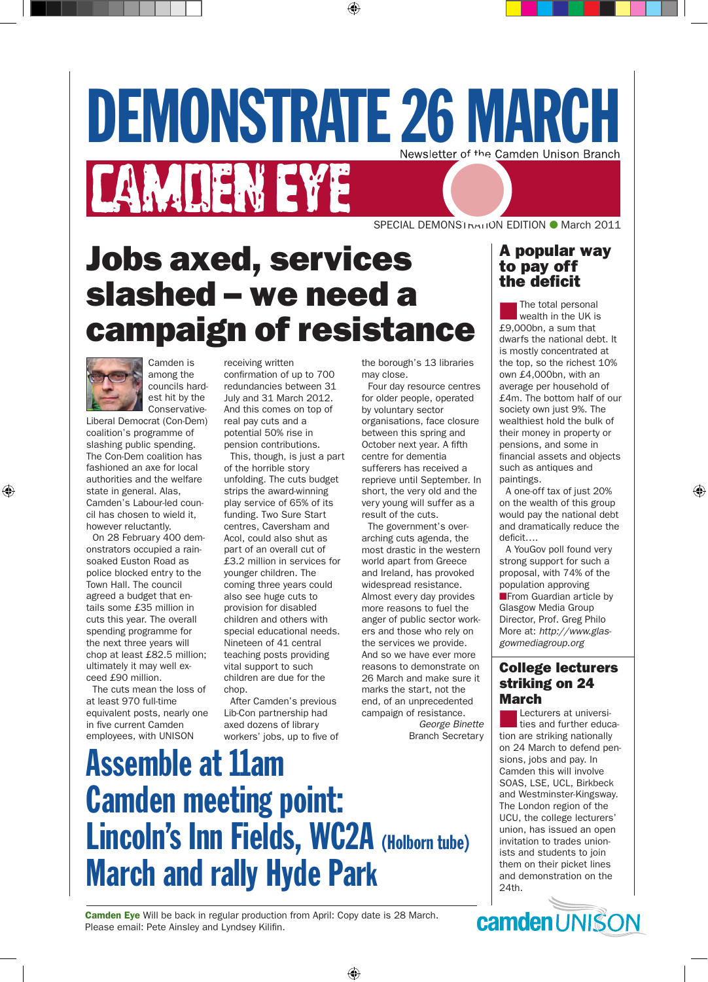# DEMONSTRATE 26 MARCH **CAMDEN EYE**

SPECIAL DEMONS1<sub>NATI</sub>ON EDITION ● March 2011

# Jobs axed, services slashed – we need a campaign of resistance



Camden is among the councils hardest hit by the Conservative-

Liberal Democrat (Con-Dem) coalition's programme of slashing public spending. The Con-Dem coalition has fashioned an axe for local authorities and the welfare state in general. Alas, Camden's Labour-led council has chosen to wield it, however reluctantly.

On 28 February 400 demonstrators occupied a rainsoaked Euston Road as police blocked entry to the Town Hall. The council agreed a budget that entails some £35 million in cuts this year. The overall spending programme for the next three years will chop at least £82.5 million; ultimately it may well exceed £90 million.

The cuts mean the loss of at least 970 full-time equivalent posts, nearly one in five current Camden employees, with UNISON

receiving written confirmation of up to 700 redundancies between 31 July and 31 March 2012. And this comes on top of real pay cuts and a potential 50% rise in pension contributions.

This, though, is just a part of the horrible story unfolding. The cuts budget strips the award-winning play service of 65% of its funding. Two Sure Start centres, Caversham and Acol, could also shut as part of an overall cut of £3.2 million in services for younger children. The coming three years could also see huge cuts to provision for disabled children and others with special educational needs. Nineteen of 41 central teaching posts providing vital support to such children are due for the chop.

After Camden's previous Lib-Con partnership had axed dozens of library workers' jobs, up to five of the borough's 13 libraries may close.

Four day resource centres for older people, operated by voluntary sector organisations, face closure between this spring and October next year. A fifth centre for dementia sufferers has received a reprieve until September. In short, the very old and the very young will suffer as a result of the cuts.

The government's overarching cuts agenda, the most drastic in the western world apart from Greece and Ireland, has provoked widespread resistance. Almost every day provides more reasons to fuel the anger of public sector workers and those who rely on the services we provide. And so we have ever more reasons to demonstrate on 26 March and make sure it marks the start, not the end, of an unprecedented campaign of resistance.

*George Binette* Branch Secretary

# Assemble at 11am Camden meeting point: Lincoln's Inn Fields, WC2A (Holborn tube) March and rally Hyde Park

#### A popular way to pay off the deficit

The total personal<br>wealth in the UK is £9,000bn, a sum that dwarfs the national debt. It is mostly concentrated at the top, so the richest 10% own £4,000bn, with an average per household of £4m. The bottom half of our society own just 9%. The wealthiest hold the bulk of their money in property or pensions, and some in financial assets and objects such as antiques and paintings.

A one-off tax of just 20% on the wealth of this group would pay the national debt and dramatically reduce the deficit….

A YouGov poll found very strong support for such a proposal, with 74% of the population approving **nFrom Guardian article by** Glasgow Media Group Director, Prof. Greg Philo

More at: *http://www.glasgowmediagroup.org*

#### College lecturers striking on 24 March

**Lecturers at universi-**<br>ties and further education are striking nationally on 24 March to defend pensions, jobs and pay. In Camden this will involve SOAS, LSE, UCL, Birkbeck and Westminster-Kingsway. The London region of the UCU, the college lecturers' union, has issued an open invitation to trades unionists and students to join them on their picket lines and demonstration on the 24th.

Camden Eye Will be back in regular production from April: Copy date is 28 March. Please email: Pete Ainsley and Lyndsey Kilifin.